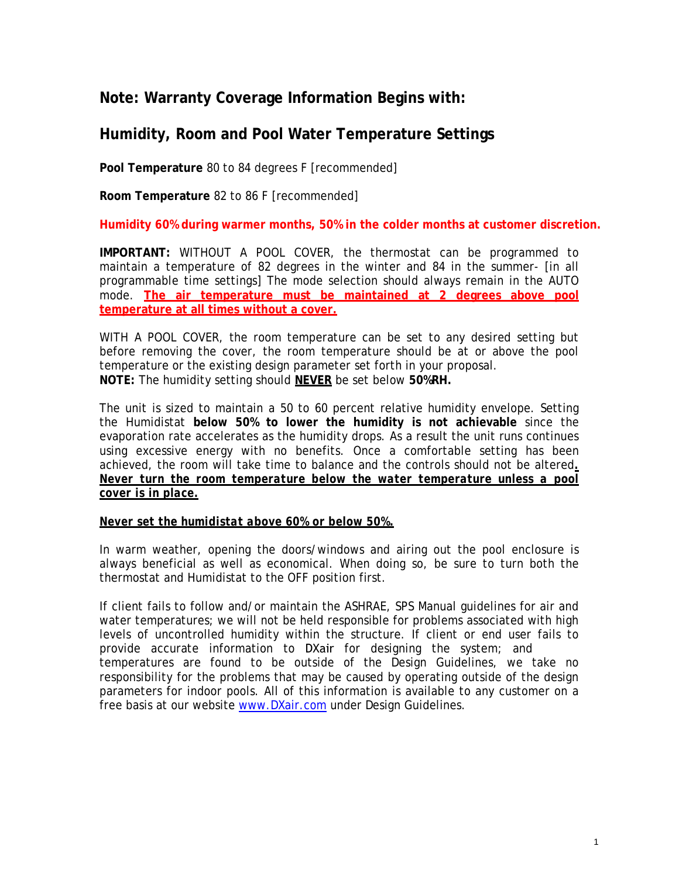## **Note: Warranty Coverage Information Begins with:**

## **Humidity, Room and Pool Water Temperature Settings**

**Pool Temperature** 80 to 84 degrees F [recommended]

**Room Temperature** 82 to 86 F [recommended]

**Humidity 60% during warmer months, 50% in the colder months at customer discretion.**

**IMPORTANT:** WITHOUT A POOL COVER, the thermostat can be programmed to maintain a temperature of 82 degrees in the winter and 84 in the summer- [in all programmable time settings] The mode selection should always remain in the AUTO mode. **The air temperature must be maintained at 2 degrees above pool temperature at all times without a cover.**

WITH A POOL COVER, the room temperature can be set to any desired setting but before removing the cover, the room temperature should be at or above the pool temperature or the existing design parameter set forth in your proposal. **NOTE:** The humidity setting should **NEVER** be set below **50%RH.** 

The unit is sized to maintain a 50 to 60 percent relative humidity envelope. Setting the Humidistat **below 50% to lower the humidity is not achievable** since the evaporation rate accelerates as the humidity drops. As a result the unit runs continues using excessive energy with no benefits. Once a comfortable setting has been achieved, the room will take time to balance and the controls should not be altered*. Never turn the room temperature below the water temperature unless a pool cover is in place.*

### *Never set the humidistat above 60% or below 50%.*

In warm weather, opening the doors/windows and airing out the pool enclosure is always beneficial as well as economical. When doing so, be sure to turn both the thermostat and Humidistat to the OFF position first.

If client fails to follow and/or maintain the ASHRAE, SPS Manual guidelines for air and water temperatures; we will not be held responsible for problems associated with high levels of uncontrolled humidity within the structure. If client or end user fails to provide accurate information to DXair for designing the system; and temperatures are found to be outside of the Design Guidelines, we take no responsibility for the problems that may be caused by operating outside of the design parameters for indoor pools. All of this information is available to any customer on a free basis at our website [www.DXair.com](http://www.dxair.com/) under Design Guidelines.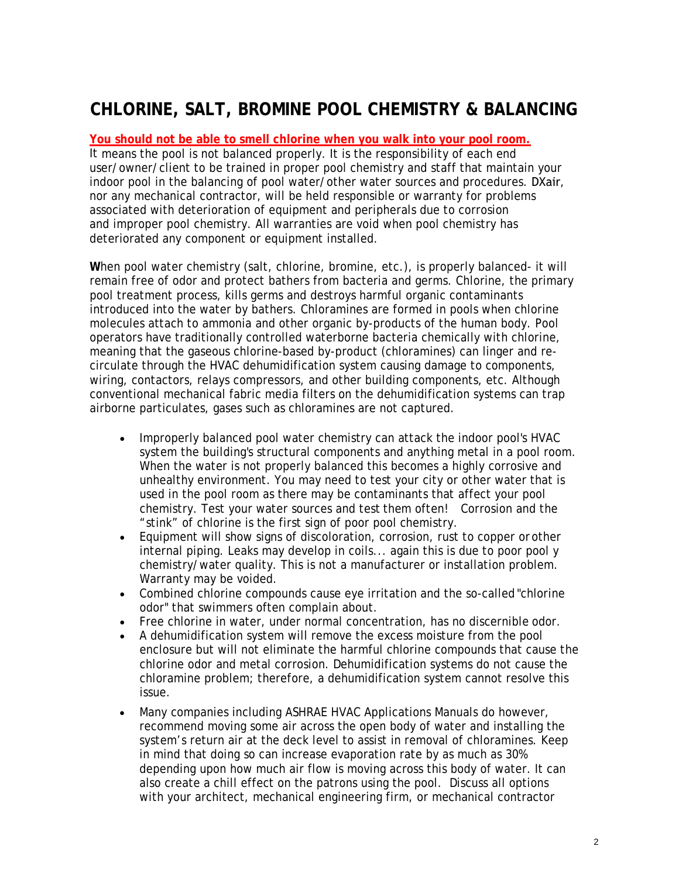## **CHLORINE, SALT, BROMINE POOL CHEMISTRY & BALANCING**

### **You should not be able to smell chlorine when you walk into your pool room.**

It means the pool is not balanced properly. It is the responsibility of each end user/owner/client to be trained in proper pool chemistry and staff that maintain your indoor pool in the balancing of pool water/other water sources and procedures. DXair, nor any mechanical contractor, will be held responsible or warranty for problems associated with deterioration of equipment and peripherals due to corrosion and improper pool chemistry. All warranties are void when pool chemistry has deteriorated any component or equipment installed.

**W**hen pool water chemistry (salt, chlorine, bromine, etc.), is properly balanced- it will remain free of odor and protect bathers from bacteria and germs. Chlorine, the primary pool treatment process, kills germs and destroys harmful organic contaminants introduced into the water by bathers. Chloramines are formed in pools when chlorine molecules attach to ammonia and other organic by-products of the human body. Pool operators have traditionally controlled waterborne bacteria chemically with chlorine, meaning that the gaseous chlorine-based by-product (chloramines) can linger and recirculate through the HVAC dehumidification system causing damage to components, wiring, contactors, relays compressors, and other building components, etc. Although conventional mechanical fabric media filters on the dehumidification systems can trap airborne particulates, gases such as chloramines are not captured.

- Improperly balanced pool water chemistry can attack the indoor pool's HVAC system the building's structural components and anything metal in a pool room. When the water is not properly balanced this becomes a highly corrosive and unhealthy environment. You may need to test your city or other water that is used in the pool room as there may be contaminants that affect your pool chemistry. Test your water sources and test them often! Corrosion and the "stink" of chlorine is the first sign of poor pool chemistry.
- Equipment will show signs of discoloration, corrosion, rust to copper orother internal piping. Leaks may develop in coils... again this is due to poor pool y chemistry/water quality. This is not a manufacturer or installation problem. Warranty may be voided.
- Combined chlorine compounds cause eye irritation and the so-called "chlorine odor" that swimmers often complain about.
- Free chlorine in water, under normal concentration, has no discernible odor.
- A dehumidification system will remove the excess moisture from the pool enclosure but will not eliminate the harmful chlorine compounds that cause the chlorine odor and metal corrosion. Dehumidification systems do not cause the chloramine problem; therefore, a dehumidification system cannot resolve this issue.
- Many companies including ASHRAE HVAC Applications Manuals do however, recommend moving some air across the open body of water and installing the system's return air at the deck level to assist in removal of chloramines. Keep in mind that doing so can increase evaporation rate by as much as 30% depending upon how much air flow is moving across this body of water. It can also create a chill effect on the patrons using the pool. Discuss all options with your architect, mechanical engineering firm, or mechanical contractor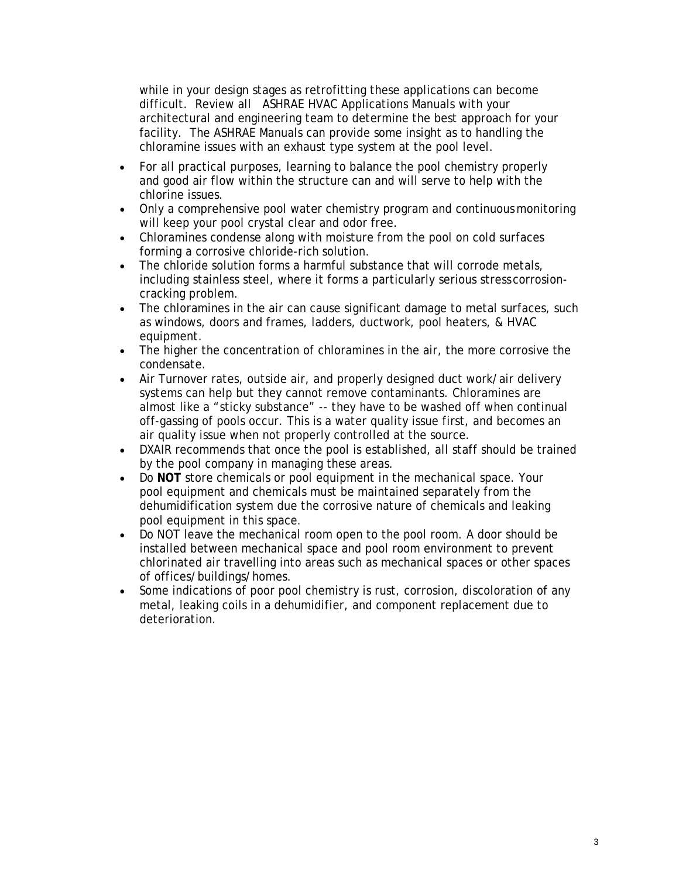while in your design stages as retrofitting these applications can become difficult. Review all ASHRAE HVAC Applications Manuals with your architectural and engineering team to determine the best approach for your facility. The ASHRAE Manuals can provide some insight as to handling the chloramine issues with an exhaust type system at the pool level.

- For all practical purposes, learning to balance the pool chemistry properly and good air flow within the structure can and will serve to help with the chlorine issues.
- Only a comprehensive pool water chemistry program and continuous monitoring will keep your pool crystal clear and odor free.
- Chloramines condense along with moisture from the pool on cold surfaces forming a corrosive chloride-rich solution.
- The chloride solution forms a harmful substance that will corrode metals, including stainless steel, where it forms a particularly serious stresscorrosioncracking problem.
- The chloramines in the air can cause significant damage to metal surfaces, such as windows, doors and frames, ladders, ductwork, pool heaters, & HVAC equipment.
- The higher the concentration of chloramines in the air, the more corrosive the condensate.
- Air Turnover rates, outside air, and properly designed duct work/air delivery systems can help but they cannot remove contaminants. Chloramines are almost like a "sticky substance" -- they have to be washed off when continual off-gassing of pools occur. This is a water quality issue first, and becomes an air quality issue when not properly controlled at the source.
- DXAIR recommends that once the pool is established, all staff should be trained by the pool company in managing these areas.
- Do **NOT** store chemicals or pool equipment in the mechanical space. Your pool equipment and chemicals must be maintained separately from the dehumidification system due the corrosive nature of chemicals and leaking pool equipment in this space.
- Do NOT leave the mechanical room open to the pool room. A door should be installed between mechanical space and pool room environment to prevent chlorinated air travelling into areas such as mechanical spaces or other spaces of offices/buildings/homes.
- Some indications of poor pool chemistry is rust, corrosion, discoloration of any metal, leaking coils in a dehumidifier, and component replacement due to deterioration.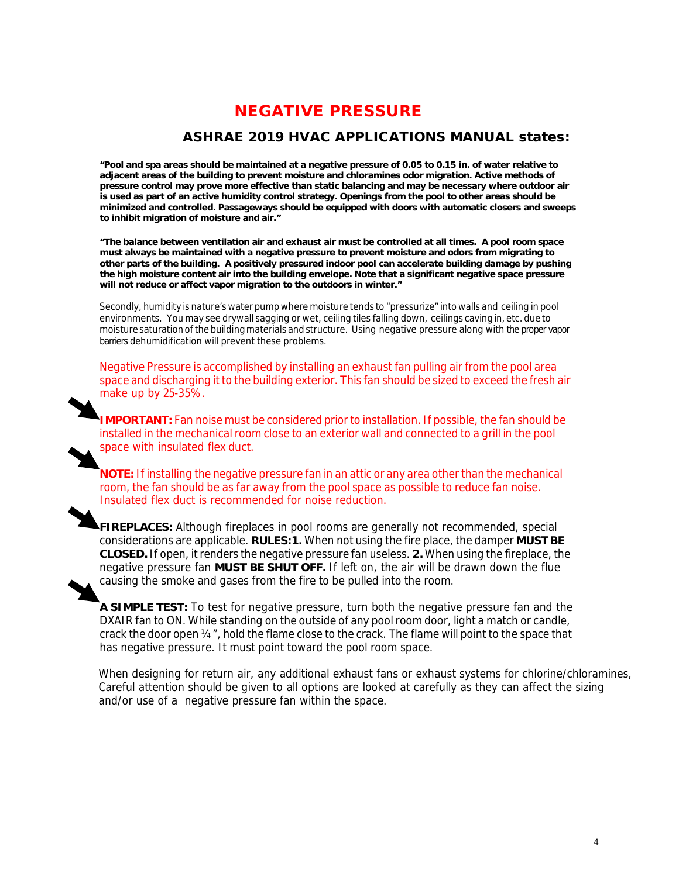## NEGATIVE PRESSURE

### ASHRAE 2019 HVAC APPLICATIONS MANUAL states:

**"Pool and spa areas should be maintained at a negative pressure of 0.05 to 0.15 in. of water relative to adjacent areas of the building to prevent moisture and chloramines odor migration. Active methods of pressure control may prove more effective than static balancing and may be necessary where outdoor air is used as part of an active humidity control strategy. Openings from the pool to other areas should be minimized and controlled. Passageways should be equipped with doors with automatic closers and sweeps to inhibit migration of moisture and air."**

**"The balance between ventilation air and exhaust air must be controlled at all times. A pool room space must always be maintained with a negative pressure to prevent moisture and odors from migrating to other parts of the building. A positively pressured indoor pool can accelerate building damage by pushing the high moisture content air into the building envelope. Note that a significant negative space pressure will not reduce or affect vapor migration to the outdoors in winter."** 

Secondly, humidity is nature's water pump where moisture tends to "pressurize" into walls and ceiling in pool environments. You may see drywall sagging or wet, ceiling tiles falling down, ceilings caving in, etc.due to moisture saturationofthe buildingmaterials and structure. Using negative pressure along with the proper vapor barriers dehumidification will prevent these problems.

Negative Pressure is accomplished by installing an exhaust fan pulling air from the pool area space and discharging it to the building exterior. This fan should be sized to exceed the fresh air make up by 25-35%.

**IMPORTANT:** Fan noise must be considered prior to installation. If possible, the fan should be installed in the mechanical room close to an exterior wall and connected to a grill in the pool space with insulated flex duct.

**NOTE:**If installing the negative pressure fan in an attic or any area other than the mechanical room, the fan should be as far away from the pool space as possible to reduce fan noise. Insulated flex duct is recommended for noise reduction.

**FIREPLACES:** Although fireplaces in pool rooms are generally not recommended, special considerations are applicable. **RULES:1.** When not using the fire place, the damper **MUST BE CLOSED.**If open, itrenders the negative pressure fan useless. **2.** When using the fireplace, the negative pressure fan **MUST BE SHUT OFF.** If left on, the air will be drawn down the flue causing the smoke and gases from the fire to be pulled into the room.

**A SIMPLE TEST:** To test for negative pressure, turn both the negative pressure fan and the DXAIR fan to ON. While standing on the outside of any pool room door, light a match or candle, crack the door open ¼", hold the flame close to the crack. The flame will point to the space that has negative pressure. It must point toward the pool room space.

 When designing for return air, any additional exhaust fans or exhaust systems for chlorine/chloramines, Careful attention should be given to all options are looked at carefully as they can affect the sizing and/or use of a negative pressure fan within the space.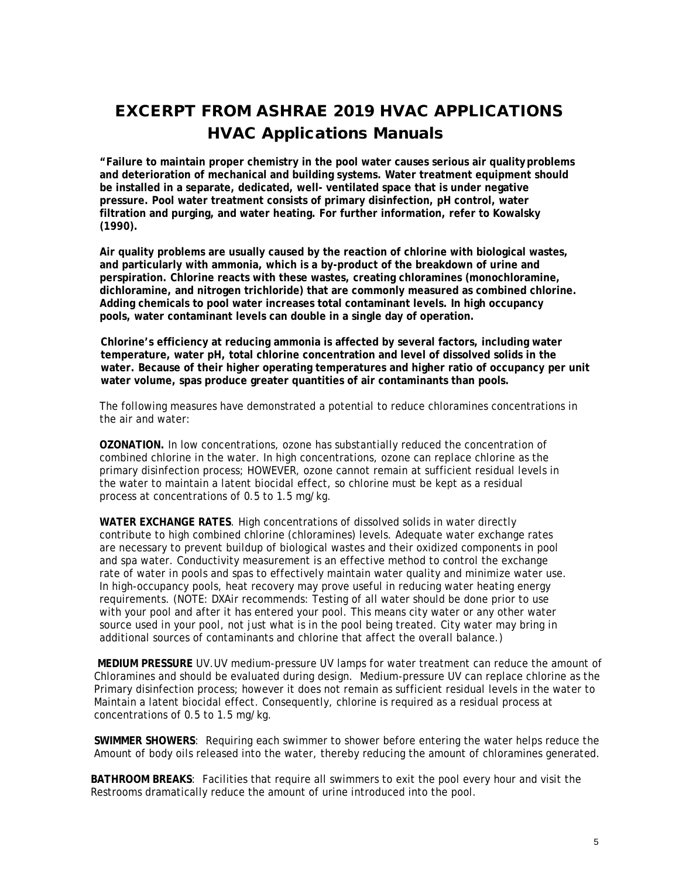## EXCERPT FROM ASHRAE 2019 HVAC APPLICATIONS HVAC Applications Manuals

**"Failure to maintain proper chemistry in the pool water causes serious air qualityproblems and deterioration of mechanical and building systems. Water treatment equipment should be installed in a separate, dedicated, well- ventilated space that is under negative pressure. Pool water treatment consists of primary disinfection, pH control, water filtration and purging, and water heating. For further information, refer to Kowalsky (1990).**

**Air quality problems are usually caused by the reaction of chlorine with biological wastes, and particularly with ammonia, which is a by-product of the breakdown of urine and perspiration. Chlorine reacts with these wastes, creating chloramines (monochloramine, dichloramine, and nitrogen trichloride) that are commonly measured as combined chlorine. Adding chemicals to pool water increases total contaminant levels. In high occupancy pools, water contaminant levels can double in a single day of operation.** 

 **Chlorine's efficiency at reducing ammonia is affected by several factors, including water temperature, water pH, total chlorine concentration and level of dissolved solids in the water. Because of their higher operating temperatures and higher ratio of occupancy per unit water volume, spas produce greater quantities of air contaminants than pools.** 

The following measures have demonstrated a potential to reduce chloramines concentrations in the air and water:

**OZONATION.** In low concentrations, ozone has substantially reduced the concentration of combined chlorine in the water. In high concentrations, ozone can replace chlorine as the primary disinfection process; HOWEVER, ozone cannot remain at sufficient residual levels in the water to maintain a latent biocidal effect, so chlorine must be kept as a residual process at concentrations of 0.5 to 1.5 mg/kg.

**WATER EXCHANGE RATES**. High concentrations of dissolved solids in water directly contribute to high combined chlorine (chloramines) levels. Adequate water exchange rates are necessary to prevent buildup of biological wastes and their oxidized components in pool and spa water. Conductivity measurement is an effective method to control the exchange rate of water in pools and spas to effectively maintain water quality and minimize water use. In high-occupancy pools, heat recovery may prove useful in reducing water heating energy requirements. (NOTE: DXAir recommends: Testing of all water should be done prior to use with your pool and after it has entered your pool. This means city water or any other water source used in your pool, not just what is in the pool being treated. City water may bring in additional sources of contaminants and chlorine that affect the overall balance.)

 **MEDIUM PRESSURE** UV.UV medium-pressure UV lamps for water treatment can reduce the amount of Chloramines and should be evaluated during design. Medium-pressure UV can replace chlorine as the Primary disinfection process; however it does not remain as sufficient residual levels in the water to Maintain a latent biocidal effect. Consequently, chlorine is required as a residual process at concentrations of 0.5 to 1.5 mg/kg.

 **SWIMMER SHOWERS**: Requiring each swimmer to shower before entering the water helps reduce the Amount of body oils released into the water, thereby reducing the amount of chloramines generated.

 **BATHROOM BREAKS**: Facilities that require all swimmers to exit the pool every hour and visit the Restrooms dramatically reduce the amount of urine introduced into the pool.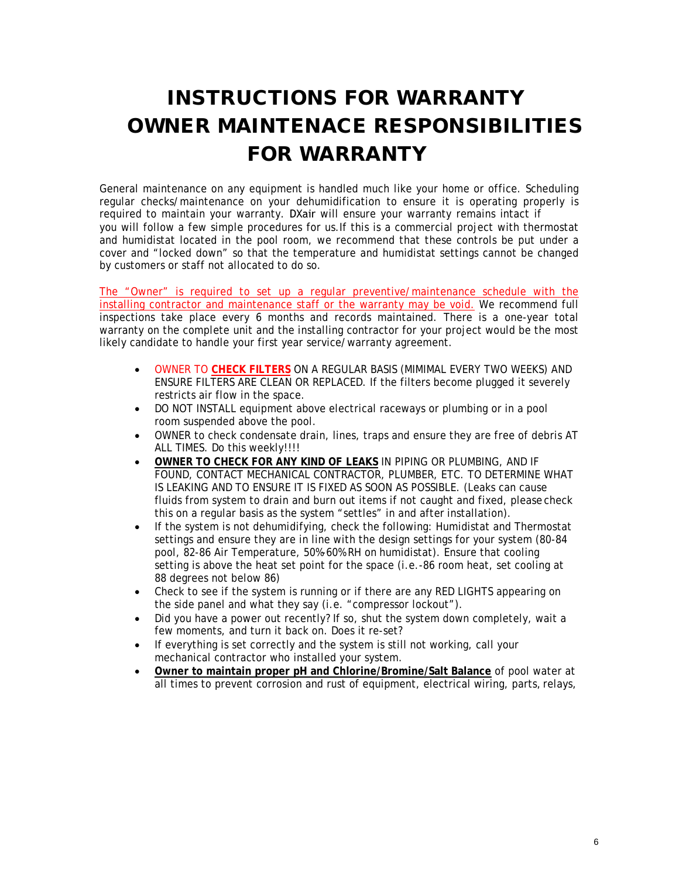# INSTRUCTIONS FOR WARRANTY OWNER MAINTENACE RESPONSIBILITIES FOR WARRANTY

General maintenance on any equipment is handled much like your home or office. Scheduling regular checks/maintenance on your dehumidification to ensure it is operating properly is required to maintain your warranty. DXair will ensure your warranty remains intact if you will follow a few simple procedures for us.If this is a commercial project with thermostat and humidistat located in the pool room, we recommend that these controls be put under a cover and "locked down" so that the temperature and humidistat settings cannot be changed by customers or staff not allocated to do so.

The "Owner" is required to set up a regular preventive/maintenance schedule with the installing contractor and maintenance staff or the warranty may be void. We recommend full inspections take place every 6 months and records maintained. There is a one-year total warranty on the complete unit and the installing contractor for your project would be the most likely candidate to handle your first year service/warranty agreement.

- OWNER TO **CHECK FILTERS** ON A REGULAR BASIS (MIMIMAL EVERY TWO WEEKS) AND ENSURE FILTERS ARE CLEAN OR REPLACED. If the filters become plugged it severely restricts air flow in the space.
- DO NOT INSTALL equipment above electrical raceways or plumbing or in a pool room suspended above the pool.
- OWNER to check condensate drain, lines, traps and ensure they are free of debris AT ALL TIMES. Do this weekly!!!!
- **OWNER TO CHECK FOR ANY KIND OF LEAKS** IN PIPING OR PLUMBING, AND IF FOUND, CONTACT MECHANICAL CONTRACTOR, PLUMBER, ETC. TO DETERMINE WHAT IS LEAKING AND TO ENSURE IT IS FIXED AS SOON AS POSSIBLE. (Leaks can cause fluids from system to drain and burn out items if not caught and fixed, please check this on a regular basis as the system "settles" in and after installation).
- If the system is not dehumidifying, check the following: Humidistat and Thermostat settings and ensure they are in line with the design settings for your system (80-84 pool, 82-86 Air Temperature, 50%-60% RH on humidistat). Ensure that cooling setting is above the heat set point for the space (i.e.-86 room heat, set cooling at 88 degrees not below 86)
- Check to see if the system is running or if there are any RED LIGHTS appearing on the side panel and what they say (i.e. "compressor lockout").
- Did you have a power out recently? If so, shut the system down completely, wait a few moments, and turn it back on. Does it re-set?
- If everything is set correctly and the system is still not working, call your mechanical contractor who installed your system.
- **Owner to maintain proper pH and Chlorine/Bromine/Salt Balance** of pool water at all times to prevent corrosion and rust of equipment, electrical wiring, parts,relays,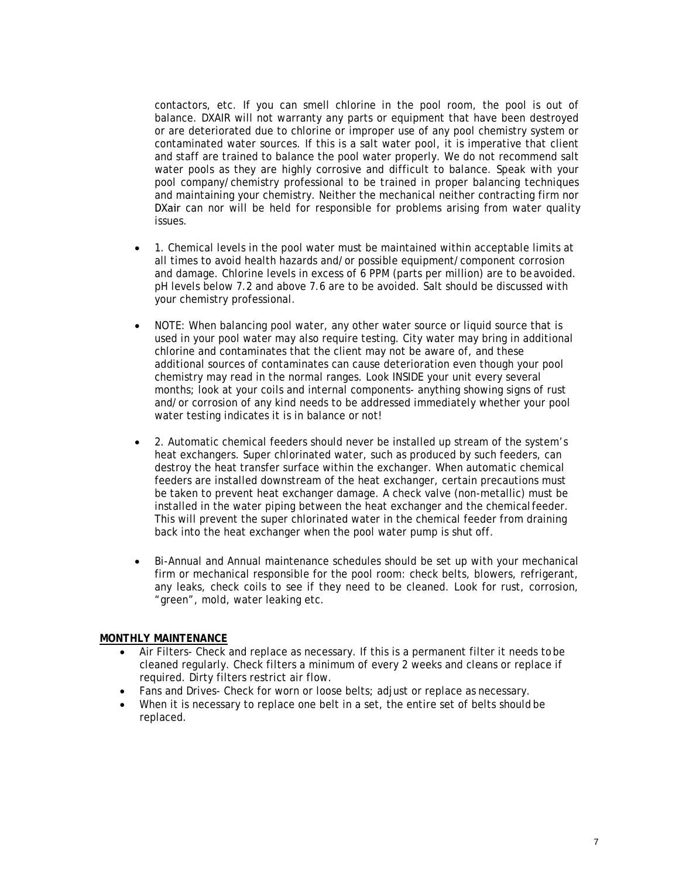contactors, etc. If you can smell chlorine in the pool room, the pool is out of balance. DXAIR will not warranty any parts or equipment that have been destroyed or are deteriorated due to chlorine or improper use of any pool chemistry system or contaminated water sources. If this is a salt water pool, it is imperative that client and staff are trained to balance the pool water properly. We do not recommend salt water pools as they are highly corrosive and difficult to balance. Speak with your pool company/chemistry professional to be trained in proper balancing techniques and maintaining your chemistry. Neither the mechanical neither contracting firm nor DXair can nor will be held for responsible for problems arising from water quality issues.

- 1. Chemical levels in the pool water must be maintained within acceptable limits at all times to avoid health hazards and/or possible equipment/component corrosion and damage. Chlorine levels in excess of 6 PPM (parts per million) are to be avoided. pH levels below 7.2 and above 7.6 are to be avoided. Salt should be discussed with your chemistry professional.
- NOTE: When balancing pool water, any other water source or liquid source that is used in your pool water may also require testing. City water may bring in additional chlorine and contaminates that the client may not be aware of, and these additional sources of contaminates can cause deterioration even though your pool chemistry may read in the normal ranges. Look INSIDE your unit every several months; look at your coils and internal components- anything showing signs of rust and/or corrosion of any kind needs to be addressed immediately whether your pool water testing indicates it is in balance or not!
- 2. Automatic chemical feeders should never be installed up stream of the system's heat exchangers. Super chlorinated water, such as produced by such feeders, can destroy the heat transfer surface within the exchanger. When automatic chemical feeders are installed downstream of the heat exchanger, certain precautions must be taken to prevent heat exchanger damage. A check valve (non-metallic) must be installed in the water piping between the heat exchanger and the chemicalfeeder. This will prevent the super chlorinated water in the chemical feeder from draining back into the heat exchanger when the pool water pump is shut off.
- Bi-Annual and Annual maintenance schedules should be set up with your mechanical firm or mechanical responsible for the pool room: check belts, blowers, refrigerant, any leaks, check coils to see if they need to be cleaned. Look for rust, corrosion, "green", mold, water leaking etc.

#### **MONTHLY MAINTENANCE**

- Air Filters- Check and replace as necessary. If this is a permanent filter it needs tobe cleaned regularly. Check filters a minimum of every 2 weeks and cleans or replace if required. Dirty filters restrict air flow.
- Fans and Drives- Check for worn or loose belts; adjust or replace as necessary.
- When it is necessary to replace one belt in a set, the entire set of belts should be replaced.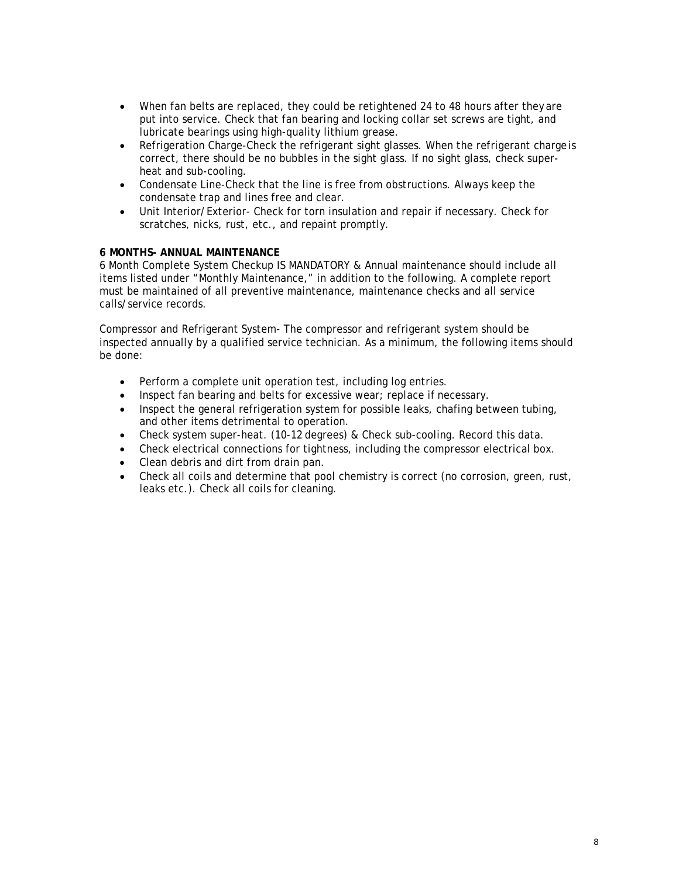- When fan belts are replaced, they could be retightened 24 to 48 hours after they are put into service. Check that fan bearing and locking collar set screws are tight, and lubricate bearings using high-quality lithium grease.
- Refrigeration Charge-Check the refrigerant sight glasses. When the refrigerant charge is correct, there should be no bubbles in the sight glass. If no sight glass, check superheat and sub-cooling.
- Condensate Line-Check that the line is free from obstructions. Always keep the condensate trap and lines free and clear.
- Unit Interior/Exterior- Check for torn insulation and repair if necessary. Check for scratches, nicks, rust, etc., and repaint promptly.

#### **6 MONTHS- ANNUAL MAINTENANCE**

6 Month Complete System Checkup IS MANDATORY & Annual maintenance should include all items listed under "Monthly Maintenance," in addition to the following. A complete report must be maintained of all preventive maintenance, maintenance checks and all service calls/service records.

Compressor and Refrigerant System- The compressor and refrigerant system should be inspected annually by a qualified service technician. As a minimum, the following items should be done:

- Perform a complete unit operation test, including log entries.
- Inspect fan bearing and belts for excessive wear; replace if necessary.
- Inspect the general refrigeration system for possible leaks, chafing between tubing, and other items detrimental to operation.
- Check system super-heat. (10-12 degrees) & Check sub-cooling. Record this data.
- Check electrical connections for tightness, including the compressor electrical box.
- Clean debris and dirt from drain pan.
- Check all coils and determine that pool chemistry is correct (no corrosion, green, rust, leaks etc.). Check all coils for cleaning.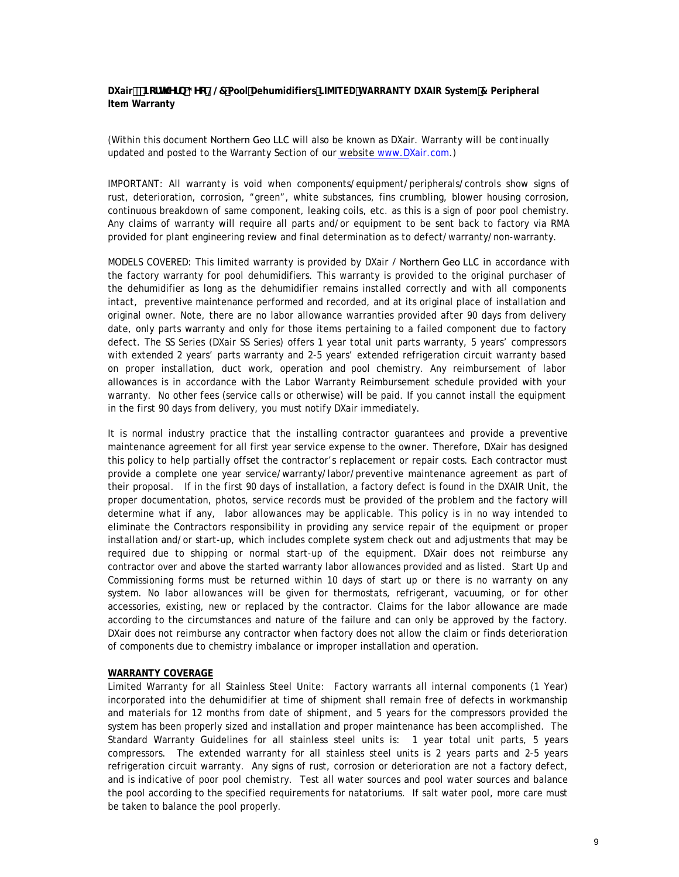**DXair** #Bcfh\Yfb; Yc @7 Pool Dehumidifiers LIMITED WARRANTY DXAIR System & Peripheral **Item Warranty**

(Within this document Northern Geo LLC will also be known as DXair. Warranty will be continually updated and posted to the Warranty Section of our website www.DXair.com.)

IMPORTANT: All warranty is void when components/equipment/peripherals/controls show signs of rust, deterioration, corrosion, "green", white substances, fins crumbling, blower housing corrosion, continuous breakdown of same component, leaking coils, etc. as this is a sign of poor pool chemistry. Any claims of warranty will require all parts and/or equipment to be sent back to factory via RMA provided for plant engineering review and final determination as to defect/warranty/non-warranty.

MODELS COVERED: This limited warranty is provided by DXair / Northern Geo LLC in accordance with the factory warranty for pool dehumidifiers. This warranty is provided to the original purchaser of the dehumidifier as long as the dehumidifier remains installed correctly and with all components intact, preventive maintenance performed and recorded, and at its original place of installation and original owner. Note, there are no labor allowance warranties provided after 90 days from delivery date, only parts warranty and only for those items pertaining to a failed component due to factory defect. The SS Series (DXair SS Series) offers 1 year total unit parts warranty, 5 years' compressors with extended 2 years' parts warranty and 2-5 years' extended refrigeration circuit warranty based on proper installation, duct work, operation and pool chemistry. Any reimbursement of labor allowances is in accordance with the Labor Warranty Reimbursement schedule provided with your warranty. No other fees (service calls or otherwise) will be paid. If you cannot install the equipment in the first 90 days from delivery, you must notify DXair immediately.

It is normal industry practice that the installing contractor guarantees and provide a preventive maintenance agreement for all first year service expense to the owner. Therefore, DXair has designed this policy to help partially offset the contractor's replacement or repair costs. Each contractor must provide a complete one year service/warranty/labor/preventive maintenance agreement as part of their proposal. If in the first 90 days of installation, a factory defect is found in the DXAIR Unit, the proper documentation, photos, service records must be provided of the problem and the factory will determine what if any, labor allowances may be applicable. This policy is in no way intended to eliminate the Contractors responsibility in providing any service repair of the equipment or proper installation and/or start-up, which includes complete system check out and adjustments that may be required due to shipping or normal start-up of the equipment. DXair does not reimburse any contractor over and above the started warranty labor allowances provided and as listed. Start Up and Commissioning forms must be returned within 10 days of start up or there is no warranty on any system. No labor allowances will be given for thermostats, refrigerant, vacuuming, or for other accessories, existing, new or replaced by the contractor. Claims for the labor allowance are made according to the circumstances and nature of the failure and can only be approved by the factory. DXair does not reimburse any contractor when factory does not allow the claim or finds deterioration of components due to chemistry imbalance or improper installation and operation.

#### **WARRANTY COVERAGE**

Limited Warranty for all Stainless Steel Unite: Factory warrants all internal components (1 Year) incorporated into the dehumidifier at time of shipment shall remain free of defects in workmanship and materials for 12 months from date of shipment, and 5 years for the compressors provided the system has been properly sized and installation and proper maintenance has been accomplished. The Standard Warranty Guidelines for all stainless steel units is: 1 year total unit parts, 5 years compressors. The extended warranty for all stainless steel units is 2 years parts and 2-5 years refrigeration circuit warranty. Any signs of rust, corrosion or deterioration are not a factory defect, and is indicative of poor pool chemistry. Test all water sources and pool water sources and balance the pool according to the specified requirements for natatoriums. If salt water pool, more care must be taken to balance the pool properly.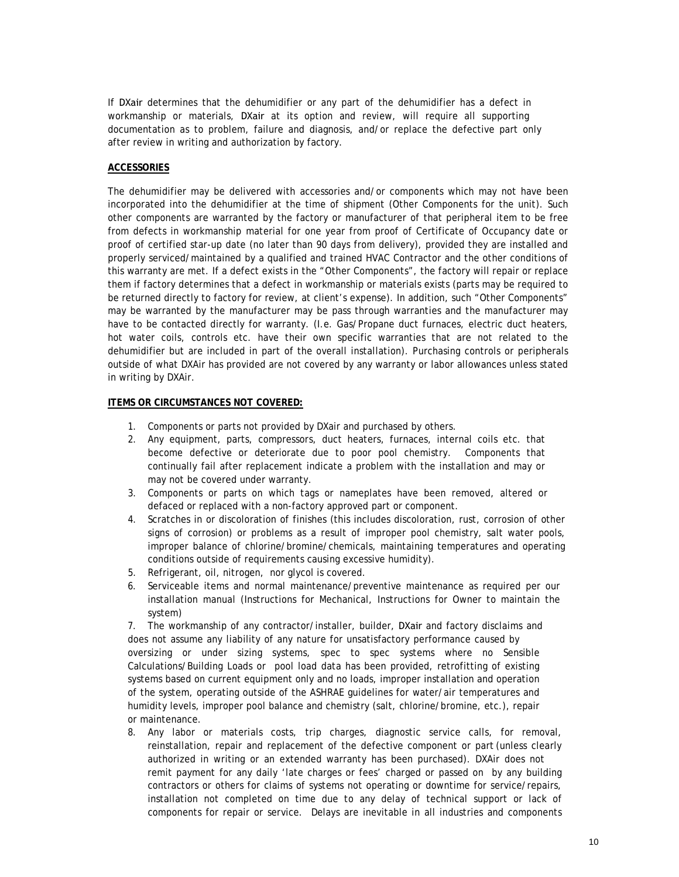If DXair determines that the dehumidifier or any part of the dehumidifier has a defect in workmanship or materials, DXair at its option and review, will require all supporting documentation as to problem, failure and diagnosis, and/or replace the defective part only after review in writing and authorization by factory.

#### **ACCESSORIES**

The dehumidifier may be delivered with accessories and/or components which may not have been incorporated into the dehumidifier at the time of shipment (Other Components for the unit). Such other components are warranted by the factory or manufacturer of that peripheral item to be free from defects in workmanship material for one year from proof of Certificate of Occupancy date or proof of certified star-up date (no later than 90 days from delivery), provided they are installed and properly serviced/maintained by a qualified and trained HVAC Contractor and the other conditions of this warranty are met. If a defect exists in the "Other Components", the factory will repair or replace them if factory determines that a defect in workmanship or materials exists (parts may be required to be returned directly to factory for review, at client's expense). In addition, such "Other Components" may be warranted by the manufacturer may be pass through warranties and the manufacturer may have to be contacted directly for warranty. (I.e. Gas/Propane duct furnaces, electric duct heaters, hot water coils, controls etc. have their own specific warranties that are not related to the dehumidifier but are included in part of the overall installation). Purchasing controls or peripherals outside of what DXAir has provided are not covered by any warranty or labor allowances unless stated in writing by DXAir.

#### **ITEMS OR CIRCUMSTANCES NOT COVERED:**

- 1. Components or parts not provided by DXair and purchased by others.
- 2. Any equipment, parts, compressors, duct heaters, furnaces, internal coils etc. that become defective or deteriorate due to poor pool chemistry. Components that continually fail after replacement indicate a problem with the installation and may or may not be covered under warranty.
- 3. Components or parts on which tags or nameplates have been removed, altered or defaced or replaced with a non-factory approved part or component.
- 4. Scratches in or discoloration of finishes (this includes discoloration, rust, corrosion of other signs of corrosion) or problems as a result of improper pool chemistry, salt water pools, improper balance of chlorine/bromine/chemicals, maintaining temperatures and operating conditions outside of requirements causing excessive humidity).
- 5. Refrigerant, oil, nitrogen, nor glycol is covered.
- 6. Serviceable items and normal maintenance/preventive maintenance as required per our installation manual (Instructions for Mechanical, Instructions for Owner to maintain the system)

7. The workmanship of any contractor/installer, builder, DXair and factory disclaims and does not assume any liability of any nature for unsatisfactory performance caused by oversizing or under sizing systems, spec to spec systems where no Sensible Calculations/Building Loads or pool load data has been provided, retrofitting of existing systems based on current equipment only and no loads, improper installation and operation of the system, operating outside of the ASHRAE guidelines for water/air temperatures and humidity levels, improper pool balance and chemistry (salt, chlorine/bromine, etc.), repair or maintenance.

8. Any labor or materials costs, trip charges, diagnostic service calls, for removal, reinstallation, repair and replacement of the defective component or part (unless clearly authorized in writing or an extended warranty has been purchased). DXAir does not remit payment for any daily 'late charges or fees' charged or passed on by any building contractors or others for claims of systems not operating or downtime for service/repairs, installation not completed on time due to any delay of technical support or lack of components for repair or service. Delays are inevitable in all industries and components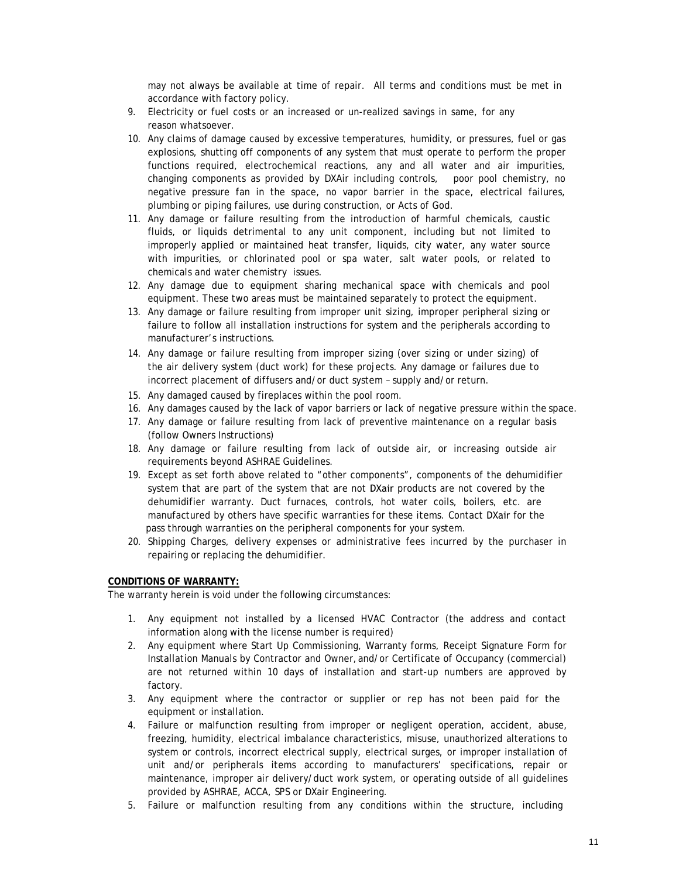may not always be available at time of repair. All terms and conditions must be met in accordance with factory policy.

- 9. Electricity or fuel costs or an increased or un-realized savings in same, for any reason whatsoever.
- 10. Any claims of damage caused by excessive temperatures, humidity, or pressures, fuel or gas explosions, shutting off components of any system that must operate to perform the proper functions required, electrochemical reactions, any and all water and air impurities, changing components as provided by DXAir including controls, poor pool chemistry, no negative pressure fan in the space, no vapor barrier in the space, electrical failures, plumbing or piping failures, use during construction, or Acts of God.
- 11. Any damage or failure resulting from the introduction of harmful chemicals, caustic fluids, or liquids detrimental to any unit component, including but not limited to improperly applied or maintained heat transfer, liquids, city water, any water source with impurities, or chlorinated pool or spa water, salt water pools, or related to chemicals and water chemistry issues.
- 12. Any damage due to equipment sharing mechanical space with chemicals and pool equipment. These two areas must be maintained separately to protect the equipment.
- 13. Any damage or failure resulting from improper unit sizing, improper peripheral sizing or failure to follow all installation instructions for system and the peripherals according to manufacturer's instructions.
- 14. Any damage or failure resulting from improper sizing (over sizing or under sizing) of the air delivery system (duct work) for these projects. Any damage or failures due to incorrect placement of diffusers and/or duct system – supply and/or return.
- 15. Any damaged caused by fireplaces within the pool room.
- 16. Any damages caused by the lack of vapor barriers or lack of negative pressure within the space.
- 17. Any damage or failure resulting from lack of preventive maintenance on a regular basis (follow Owners Instructions)
- 18. Any damage or failure resulting from lack of outside air, or increasing outside air requirements beyond ASHRAE Guidelines.
- 19. Except as set forth above related to "other components", components of the dehumidifier system that are part of the system that are not DXair products are not covered by the dehumidifier warranty. Duct furnaces, controls, hot water coils, boilers, etc. are manufactured by others have specific warranties for these items. Contact DXair for the pass through warranties on the peripheral components for your system.
- 20. Shipping Charges, delivery expenses or administrative fees incurred by the purchaser in repairing or replacing the dehumidifier.

#### **CONDITIONS OF WARRANTY:**

The warranty herein is void under the following circumstances:

- 1. Any equipment not installed by a licensed HVAC Contractor (the address and contact information along with the license number is required)
- 2. Any equipment where Start Up Commissioning, Warranty forms, Receipt Signature Form for Installation Manuals by Contractor and Owner, and/or Certificate of Occupancy (commercial) are not returned within 10 days of installation and start-up numbers are approved by factory.
- 3. Any equipment where the contractor or supplier or rep has not been paid for the equipment or installation.
- 4. Failure or malfunction resulting from improper or negligent operation, accident, abuse, freezing, humidity, electrical imbalance characteristics, misuse, unauthorized alterations to system or controls, incorrect electrical supply, electrical surges, or improper installation of unit and/or peripherals items according to manufacturers' specifications, repair or maintenance, improper air delivery/duct work system, or operating outside of all guidelines provided by ASHRAE, ACCA, SPS or DXair Engineering.
- 5. Failure or malfunction resulting from any conditions within the structure, including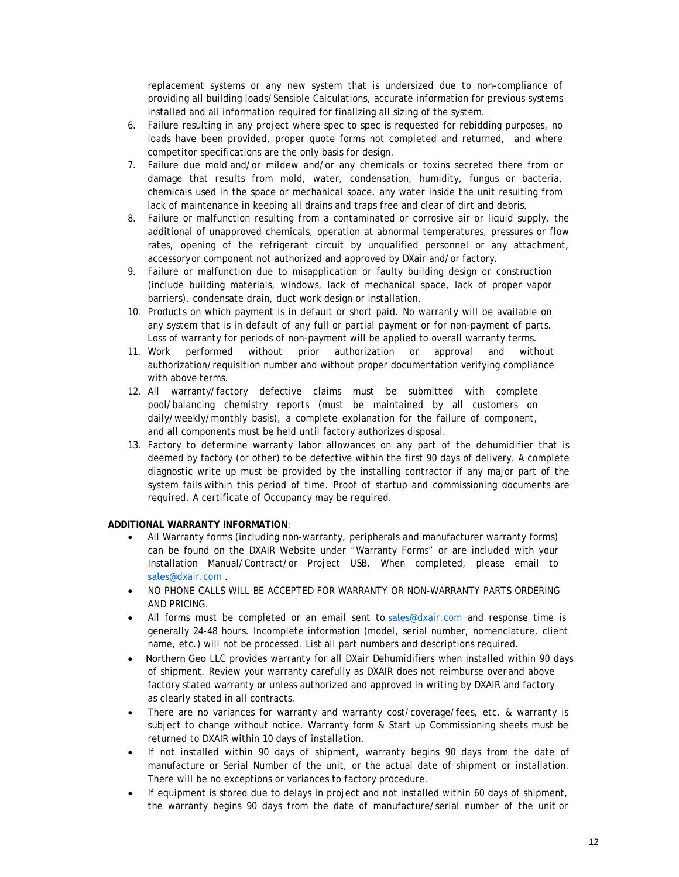replacement systems or any new system that is undersized due to non-compliance of providing all building loads/Sensible Calculations, accurate information for previous systems installed and all information required for finalizing all sizing of the system.

- 6. Failure resulting in any project where spec to spec is requested for rebidding purposes, no loads have been provided, proper quote forms not completed and returned, and where competitor specifications are the only basis for design.
- 7. Failure due mold and/or mildew and/or any chemicals or toxins secreted there from or damage that results from mold, water, condensation, humidity, fungus or bacteria, chemicals used in the space or mechanical space, any water inside the unit resulting from lack of maintenance in keeping all drains and traps free and clear of dirt and debris.
- 8. Failure or malfunction resulting from a contaminated or corrosive air or liquid supply, the additional of unapproved chemicals, operation at abnormal temperatures, pressures or flow rates, opening of the refrigerant circuit by unqualified personnel or any attachment, accessoryor component not authorized and approved by DXair and/or factory.
- 9. Failure or malfunction due to misapplication or faulty building design or construction (include building materials, windows, lack of mechanical space, lack of proper vapor barriers), condensate drain, duct work design or installation.
- 10. Products on which payment is in default or short paid. No warranty will be available on any system that is in default of any full or partial payment or for non-payment of parts. Loss of warranty for periods of non-payment will be applied to overall warranty terms.
- 11. Work performed without prior authorization or approval and without authorization/requisition number and without proper documentation verifying compliance with above terms.
- 12. All warranty/factory defective claims must be submitted with complete pool/balancing chemistry reports (must be maintained by all customers on daily/weekly/monthly basis), a complete explanation for the failure of component, and all components must be held until factory authorizes disposal.
- 13. Factory to determine warranty labor allowances on any part of the dehumidifier that is deemed by factory (or other) to be defective within the first 90 days of delivery. A complete diagnostic write up must be provided by the installing contractor if any major part of the system fails within this period of time. Proof of startup and commissioning documents are required. A certificate of Occupancy may be required.

#### **ADDITIONAL WARRANTY INFORMATION**:

- All Warranty forms (including non-warranty, peripherals and manufacturer warranty forms) can be found on the DXAIR Website under "Warranty Forms" or are included with your Installation Manual/Contract/or Project USB. When completed, please email to sales[@dxair.com .](mailto:chris@dxair.com)
- NO PHONE CALLS WILL BE ACCEPTED FOR WARRANTY OR NON-WARRANTY PARTS ORDERING AND PRICING.
- All forms must be completed or an email sent to sales[@dxair.com](mailto:chris@dxair.com) and response time is generally 24-48 hours. Incomplete information (model, serial number, nomenclature, client name, etc.) will not be processed. List all part numbers and descriptions required.
- Northern Geo LLC provides warranty for all DXair Dehumidifiers when installed within 90 days of shipment. Review your warranty carefully as DXAIR does not reimburse over and above factory stated warranty or unless authorized and approved in writing by DXAIR and factory as clearly stated in all contracts.
- There are no variances for warranty and warranty cost/coverage/fees, etc. & warranty is subject to change without notice. Warranty form & Start up Commissioning sheets must be returned to DXAIR within 10 days of installation.
- If not installed within 90 days of shipment, warranty begins 90 days from the date of manufacture or Serial Number of the unit, or the actual date of shipment or installation. There will be no exceptions or variances to factory procedure.
- If equipment is stored due to delays in project and not installed within 60 days of shipment, the warranty begins 90 days from the date of manufacture/serial number of the unit or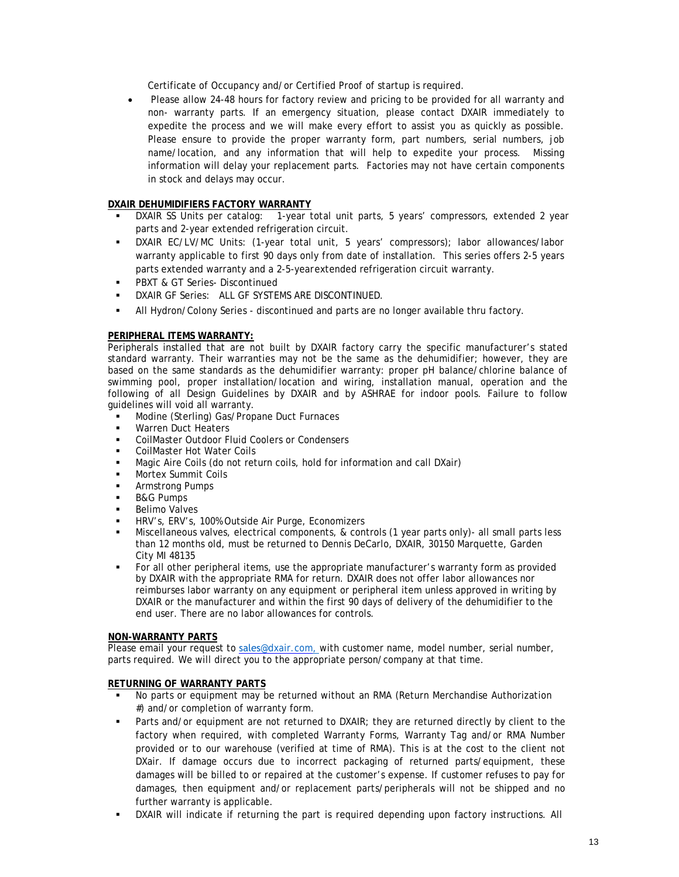Certificate of Occupancy and/or Certified Proof of startup is required.

• Please allow 24-48 hours for factory review and pricing to be provided for all warranty and non- warranty parts. If an emergency situation, please contact DXAIR immediately to expedite the process and we will make every effort to assist you as quickly as possible. Please ensure to provide the proper warranty form, part numbers, serial numbers, job name/location, and any information that will help to expedite your process. Missing information will delay your replacement parts. Factories may not have certain components in stock and delays may occur.

#### **DXAIR DEHUMIDIFIERS FACTORY WARRANTY**

- DXAIR SS Units per catalog: 1-year total unit parts, 5 years' compressors, extended 2 year parts and 2-year extended refrigeration circuit.
- DXAIR EC/LV/MC Units: (1-year total unit, 5 years' compressors); labor allowances/labor warranty applicable to first 90 days only from date of installation. This series offers 2-5 years parts extended warranty and a 2-5-yearextended refrigeration circuit warranty.
- PBXT & GT Series- Discontinued
- DXAIR GF Series: ALL GF SYSTEMS ARE DISCONTINUED.
- All Hydron/Colony Series discontinued and parts are no longer available thru factory.

#### **PERIPHERAL ITEMS WARRANTY:**

Peripherals installed that are not built by DXAIR factory carry the specific manufacturer's stated standard warranty. Their warranties may not be the same as the dehumidifier; however, they are based on the same standards as the dehumidifier warranty: proper pH balance/chlorine balance of swimming pool, proper installation/location and wiring, installation manual, operation and the following of all Design Guidelines by DXAIR and by ASHRAE for indoor pools. Failure to follow guidelines will void all warranty.

- Modine (Sterling) Gas/Propane Duct Furnaces
- Warren Duct Heaters
- CoilMaster Outdoor Fluid Coolers or Condensers
- CoilMaster Hot Water Coils
- Magic Aire Coils (do not return coils, hold for information and call DXair)
- Mortex Summit Coils
- Armstrong Pumps
- B&G Pumps
- Belimo Valves
- HRV's, ERV's, 100% Outside Air Purge, Economizers
- Miscellaneous valves, electrical components, & controls (1 year parts only)- all small parts less than 12 months old, must be returned to Dennis DeCarlo, DXAIR, 30150 Marquette, Garden City MI 48135
- For all other peripheral items, use the appropriate manufacturer's warranty form as provided by DXAIR with the appropriate RMA for return. DXAIR does not offer labor allowances nor reimburses labor warranty on any equipment or peripheral item unless approved in writing by DXAIR or the manufacturer and within the first 90 days of delivery of the dehumidifier to the end user. There are no labor allowances for controls.

#### **NON-WARRANTY PARTS**

Please email your request to sales[@dxair.com, w](mailto:chris@dxair.com,)ith customer name, model number, serial number, parts required. We will direct you to the appropriate person/company at that time.

#### **RETURNING OF WARRANTY PARTS**

- No parts or equipment may be returned without an RMA (Return Merchandise Authorization #) and/or completion of warranty form.
- Parts and/or equipment are not returned to DXAIR; they are returned directly by client to the factory when required, with completed Warranty Forms, Warranty Tag and/or RMA Number provided or to our warehouse (verified at time of RMA). This is at the cost to the client not DXair. If damage occurs due to incorrect packaging of returned parts/equipment, these damages will be billed to or repaired at the customer's expense. If customer refuses to pay for damages, then equipment and/or replacement parts/peripherals will not be shipped and no further warranty is applicable.
- DXAIR will indicate if returning the part is required depending upon factory instructions. All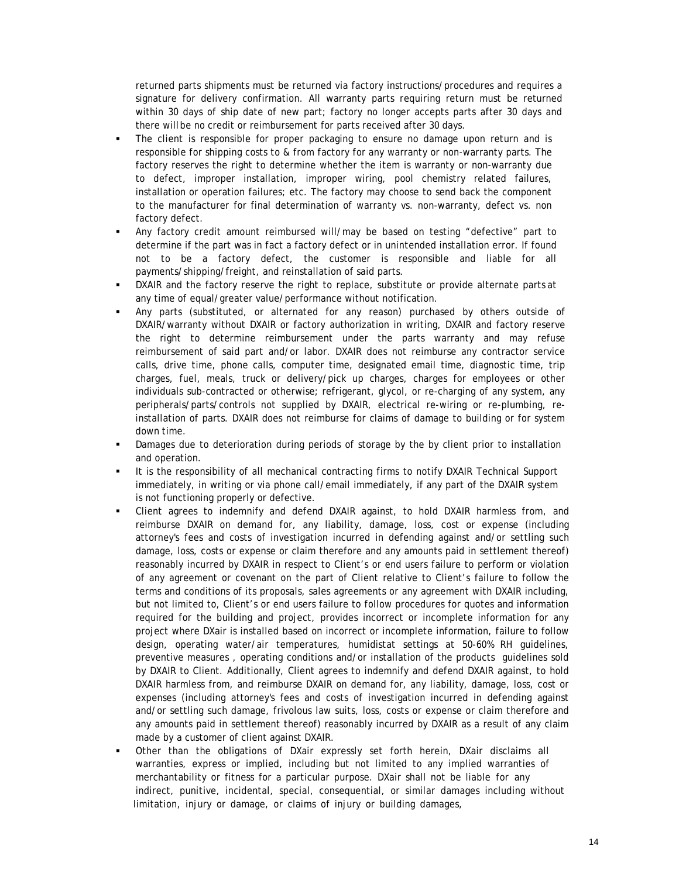returned parts shipments must be returned via factory instructions/procedures and requires a signature for delivery confirmation. All warranty parts requiring return must be returned within 30 days of ship date of new part; factory no longer accepts parts after 30 days and there willbe no credit or reimbursement for parts received after 30 days.

- The client is responsible for proper packaging to ensure no damage upon return and is responsible for shipping costs to & from factory for any warranty or non-warranty parts. The factory reserves the right to determine whether the item is warranty or non-warranty due to defect, improper installation, improper wiring, pool chemistry related failures, installation or operation failures; etc. The factory may choose to send back the component to the manufacturer for final determination of warranty vs. non-warranty, defect vs. non factory defect.
- Any factory credit amount reimbursed will/may be based on testing "defective" part to determine if the part was in fact a factory defect or in unintended installation error. If found not to be a factory defect, the customer is responsible and liable for all payments/shipping/freight, and reinstallation of said parts.
- DXAIR and the factory reserve the right to replace, substitute or provide alternate parts at any time of equal/greater value/performance without notification.
- Any parts (substituted, or alternated for any reason) purchased by others outside of DXAIR/warranty without DXAIR or factory authorization in writing, DXAIR and factory reserve the right to determine reimbursement under the parts warranty and may refuse reimbursement of said part and/or labor. DXAIR does not reimburse any contractor service calls, drive time, phone calls, computer time, designated email time, diagnostic time, trip charges, fuel, meals, truck or delivery/pick up charges, charges for employees or other individuals sub-contracted or otherwise; refrigerant, glycol, or re-charging of any system, any peripherals/parts/controls not supplied by DXAIR, electrical re-wiring or re-plumbing, reinstallation of parts. DXAIR does not reimburse for claims of damage to building or for system down time.
- Damages due to deterioration during periods of storage by the by client prior to installation and operation.
- It is the responsibility of all mechanical contracting firms to notify DXAIR Technical Support immediately, in writing or via phone call/email immediately, if any part of the DXAIR system is not functioning properly or defective.
- Client agrees to indemnify and defend DXAIR against, to hold DXAIR harmless from, and reimburse DXAIR on demand for, any liability, damage, loss, cost or expense (including attorney's fees and costs of investigation incurred in defending against and/or settling such damage, loss, costs or expense or claim therefore and any amounts paid in settlement thereof) reasonably incurred by DXAIR in respect to Client's or end users failure to perform or violation of any agreement or covenant on the part of Client relative to Client's failure to follow the terms and conditions of its proposals, sales agreements or any agreement with DXAIR including, but not limited to, Client's or end users failure to follow procedures for quotes and information required for the building and project, provides incorrect or incomplete information for any project where DXair is installed based on incorrect or incomplete information, failure to follow design, operating water/air temperatures, humidistat settings at 50-60% RH guidelines, preventive measures , operating conditions and/or installation of the products guidelines sold by DXAIR to Client. Additionally, Client agrees to indemnify and defend DXAIR against, to hold DXAIR harmless from, and reimburse DXAIR on demand for, any liability, damage, loss, cost or expenses (including attorney's fees and costs of investigation incurred in defending against and/or settling such damage, frivolous law suits, loss, costs or expense or claim therefore and any amounts paid in settlement thereof) reasonably incurred by DXAIR as a result of any claim made by a customer of client against DXAIR.
- Other than the obligations of DXair expressly set forth herein, DXair disclaims all warranties, express or implied, including but not limited to any implied warranties of merchantability or fitness for a particular purpose. DXair shall not be liable for any indirect, punitive, incidental, special, consequential, or similar damages including without limitation, injury or damage, or claims of injury or building damages,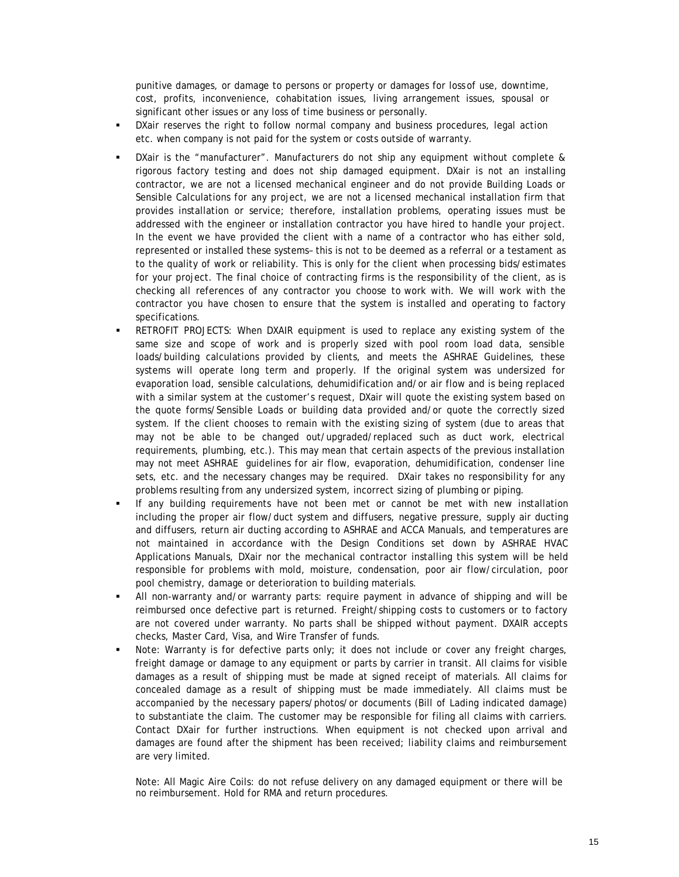punitive damages, or damage to persons or property or damages for loss of use, downtime, cost, profits, inconvenience, cohabitation issues, living arrangement issues, spousal or significant other issues or any loss of time business or personally.

- DXair reserves the right to follow normal company and business procedures, legal action etc. when company is not paid for the system or costs outside of warranty.
- DXair is the "manufacturer". Manufacturers do not ship any equipment without complete & rigorous factory testing and does not ship damaged equipment. DXair is not an installing contractor, we are not a licensed mechanical engineer and do not provide Building Loads or Sensible Calculations for any project, we are not a licensed mechanical installation firm that provides installation or service; therefore, installation problems, operating issues must be addressed with the engineer or installation contractor you have hired to handle your project. In the event we have provided the client with a name of a contractor who has either sold, represented or installed these systems– this is not to be deemed as a referral or a testament as to the quality of work or reliability. This is only for the client when processing bids/estimates for your project. The final choice of contracting firms is the responsibility of the client, as is checking all references of any contractor you choose to work with. We will work with the contractor you have chosen to ensure that the system is installed and operating to factory specifications.
- RETROFIT PROJECTS: When DXAIR equipment is used to replace any existing system of the same size and scope of work and is properly sized with pool room load data, sensible loads/building calculations provided by clients, and meets the ASHRAE Guidelines, these systems will operate long term and properly. If the original system was undersized for evaporation load, sensible calculations, dehumidification and/or air flow and is being replaced with a similar system at the customer's request, DXair will quote the existing system based on the quote forms/Sensible Loads or building data provided and/or quote the correctly sized system. If the client chooses to remain with the existing sizing of system (due to areas that may not be able to be changed out/upgraded/replaced such as duct work, electrical requirements, plumbing, etc.). This may mean that certain aspects of the previous installation may not meet ASHRAE guidelines for air flow, evaporation, dehumidification, condenser line sets, etc. and the necessary changes may be required. DXair takes no responsibility for any problems resulting from any undersized system, incorrect sizing of plumbing or piping.
- If any building requirements have not been met or cannot be met with new installation including the proper air flow/duct system and diffusers, negative pressure, supply air ducting and diffusers, return air ducting according to ASHRAE and ACCA Manuals, and temperatures are not maintained in accordance with the Design Conditions set down by ASHRAE HVAC Applications Manuals, DXair nor the mechanical contractor installing this system will be held responsible for problems with mold, moisture, condensation, poor air flow/circulation, poor pool chemistry, damage or deterioration to building materials.
- All non-warranty and/or warranty parts: require payment in advance of shipping and will be reimbursed once defective part is returned. Freight/shipping costs to customers or to factory are not covered under warranty. No parts shall be shipped without payment. DXAIR accepts checks, Master Card, Visa, and Wire Transfer of funds.
- Note: Warranty is for defective parts only; it does not include or cover any freight charges, freight damage or damage to any equipment or parts by carrier in transit. All claims for visible damages as a result of shipping must be made at signed receipt of materials. All claims for concealed damage as a result of shipping must be made immediately. All claims must be accompanied by the necessary papers/photos/or documents (Bill of Lading indicated damage) to substantiate the claim. The customer may be responsible for filing all claims with carriers. Contact DXair for further instructions. When equipment is not checked upon arrival and damages are found after the shipment has been received; liability claims and reimbursement are very limited.

Note: All Magic Aire Coils: do not refuse delivery on any damaged equipment or there will be no reimbursement. Hold for RMA and return procedures.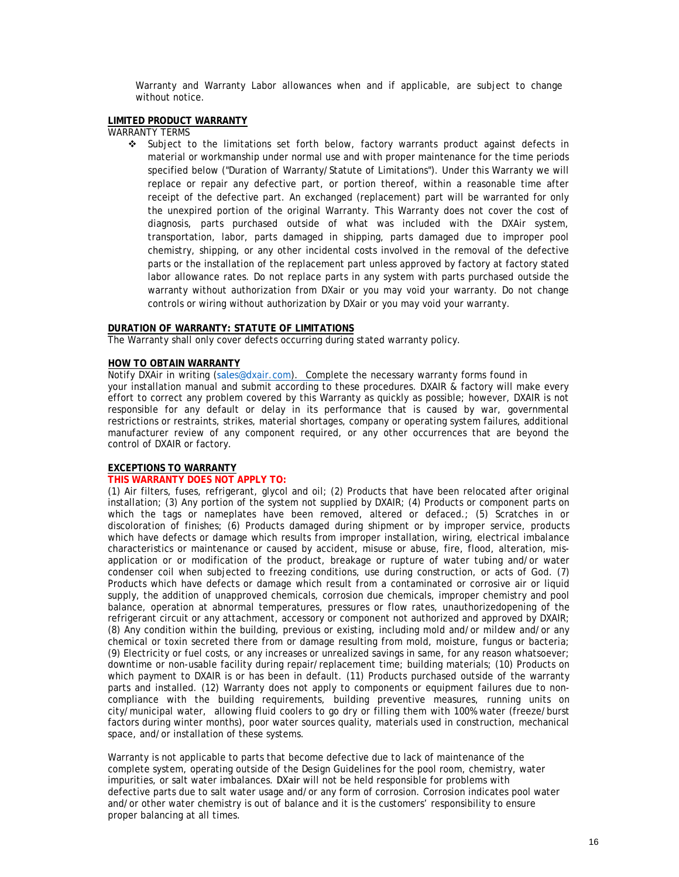Warranty and Warranty Labor allowances when and if applicable, are subject to change without notice.

#### **LIMITED PRODUCT WARRANTY**

WARRANTY TERMS

 Subject to the limitations set forth below, factory warrants product against defects in material or workmanship under normal use and with proper maintenance for the time periods specified below ("Duration of Warranty/Statute of Limitations"). Under this Warranty we will replace or repair any defective part, or portion thereof, within a reasonable time after receipt of the defective part. An exchanged (replacement) part will be warranted for only the unexpired portion of the original Warranty. This Warranty does not cover the cost of diagnosis, parts purchased outside of what was included with the DXAir system, transportation, labor, parts damaged in shipping, parts damaged due to improper pool chemistry, shipping, or any other incidental costs involved in the removal of the defective parts or the installation of the replacement part unless approved by factory at factory stated labor allowance rates. Do not replace parts in any system with parts purchased outside the warranty without authorization from DXair or you may void your warranty. Do not change controls or wiring without authorization by DXair or you may void your warranty.

#### **DURATION OF WARRANTY: STATUTE OF LIMITATIONS**

The Warranty shall only cover defects occurring during stated warranty policy.

#### **HOW TO OBTAIN WARRANTY**

Notify DXAir in writing (sales@d[xair.com\). Comple](mailto:chris@dxair.com)te the necessary warranty forms found in your installation manual and submit according to these procedures. DXAIR & factory will make every effort to correct any problem covered by this Warranty as quickly as possible; however, DXAIR is not responsible for any default or delay in its performance that is caused by war, governmental restrictions or restraints, strikes, material shortages, company or operating system failures, additional manufacturer review of any component required, or any other occurrences that are beyond the control of DXAIR or factory.

#### **EXCEPTIONS TO WARRANTY**

#### **THIS WARRANTY DOES NOT APPLY TO:**

(1) Air filters, fuses, refrigerant, glycol and oil; (2) Products that have been relocated after original installation; (3) Any portion of the system not supplied by DXAIR; (4) Products or component parts on which the tags or nameplates have been removed, altered or defaced.; (5) Scratches in or discoloration of finishes; (6) Products damaged during shipment or by improper service, products which have defects or damage which results from improper installation, wiring, electrical imbalance characteristics or maintenance or caused by accident, misuse or abuse, fire, flood, alteration, misapplication or or modification of the product, breakage or rupture of water tubing and/or water condenser coil when subjected to freezing conditions, use during construction, or acts of God. (7) Products which have defects or damage which result from a contaminated or corrosive air or liquid supply, the addition of unapproved chemicals, corrosion due chemicals, improper chemistry and pool balance, operation at abnormal temperatures, pressures or flow rates, unauthorizedopening of the refrigerant circuit or any attachment, accessory or component not authorized and approved by DXAIR; (8) Any condition within the building, previous or existing, including mold and/or mildew and/or any chemical or toxin secreted there from or damage resulting from mold, moisture, fungus or bacteria; (9) Electricity or fuel costs, or any increases or unrealized savings in same, for any reason whatsoever; downtime or non-usable facility during repair/replacement time; building materials; (10) Products on which payment to DXAIR is or has been in default. (11) Products purchased outside of the warranty parts and installed. (12) Warranty does not apply to components or equipment failures due to noncompliance with the building requirements, building preventive measures, running units on city/municipal water, allowing fluid coolers to go dry or filling them with 100% water (freeze/burst factors during winter months), poor water sources quality, materials used in construction, mechanical space, and/or installation of these systems.

Warranty is not applicable to parts that become defective due to lack of maintenance of the complete system, operating outside of the Design Guidelines for the pool room, chemistry, water impurities, or salt water imbalances. DXair will not be held responsible for problems with defective parts due to salt water usage and/or any form of corrosion. Corrosion indicates pool water and/or other water chemistry is out of balance and it is the customers' responsibility to ensure proper balancing at all times.